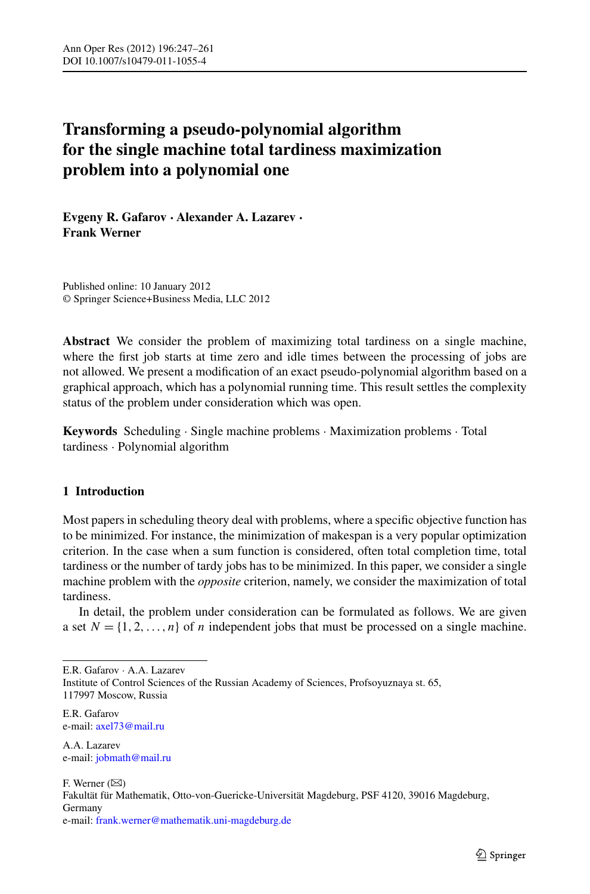# **Transforming a pseudo-polynomial algorithm for the single machine total tardiness maximization problem into a polynomial one**

**Evgeny R. Gafarov · Alexander A. Lazarev · Frank Werner**

Published online: 10 January 2012 © Springer Science+Business Media, LLC 2012

**Abstract** We consider the problem of maximizing total tardiness on a single machine, where the first job starts at time zero and idle times between the processing of jobs are not allowed. We present a modification of an exact pseudo-polynomial algorithm based on a graphical approach, which has a polynomial running time. This result settles the complexity status of the problem under consideration which was open.

**Keywords** Scheduling · Single machine problems · Maximization problems · Total tardiness · Polynomial algorithm

### **1 Introduction**

Most papers in scheduling theory deal with problems, where a specific objective function has to be minimized. For instance, the minimization of makespan is a very popular optimization criterion. In the case when a sum function is considered, often total completion time, total tardiness or the number of tardy jobs has to be minimized. In this paper, we consider a single machine problem with the *opposite* criterion, namely, we consider the maximization of total tardiness.

In detail, the problem under consideration can be formulated as follows. We are given a set  $N = \{1, 2, ..., n\}$  of *n* independent jobs that must be processed on a single machine.

E.R. Gafarov e-mail: [axel73@mail.ru](mailto:axel73@mail.ru)

A.A. Lazarev e-mail: [jobmath@mail.ru](mailto:jobmath@mail.ru)

F. Werner  $(\boxtimes)$ Fakultät für Mathematik, Otto-von-Guericke-Universität Magdeburg, PSF 4120, 39016 Magdeburg, Germany e-mail: [frank.werner@mathematik.uni-magdeburg.de](mailto:frank.werner@mathematik.uni-magdeburg.de)

E.R. Gafarov · A.A. Lazarev Institute of Control Sciences of the Russian Academy of Sciences, Profsoyuznaya st. 65, 117997 Moscow, Russia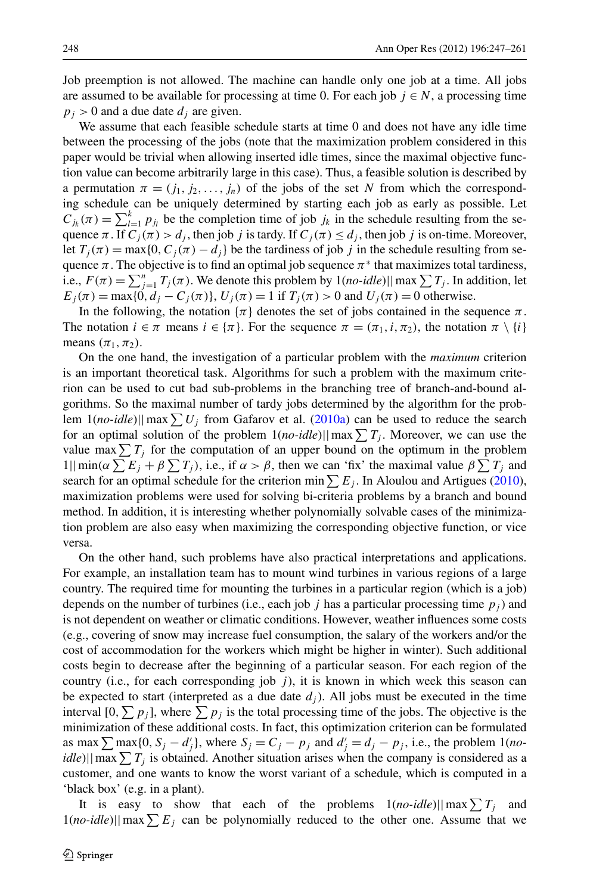Job preemption is not allowed. The machine can handle only one job at a time. All jobs are assumed to be available for processing at time 0. For each job  $j \in N$ , a processing time  $p_j$  > 0 and a due date  $d_j$  are given.

We assume that each feasible schedule starts at time 0 and does not have any idle time between the processing of the jobs (note that the maximization problem considered in this paper would be trivial when allowing inserted idle times, since the maximal objective function value can become arbitrarily large in this case). Thus, a feasible solution is described by a permutation  $\pi = (j_1, j_2, \ldots, j_n)$  of the jobs of the set *N* from which the corresponding schedule can be uniquely determined by starting each job as early as possible. Let  $C_{j_k}(\pi) = \sum_{l=1}^k p_{j_l}$  be the completion time of job  $j_k$  in the schedule resulting from the sequence  $\pi$ . If  $C_i(\pi) > d_i$ , then job *j* is tardy. If  $C_i(\pi) \leq d_i$ , then job *j* is on-time. Moreover, let  $T_j(\pi) = \max\{0, C_j(\pi) - d_j\}$  be the tardiness of job *j* in the schedule resulting from sequence  $\pi$ . The objective is to find an optimal job sequence  $\pi^*$  that maximizes total tardiness, i.e.,  $F(\pi) = \sum_{j=1}^{n} T_j(\pi)$ . We denote this problem by  $1(no-idle)||\max \sum T_j$ . In addition, let  $E_j(\pi) = \max\{0, d_j - C_j(\pi)\}, U_j(\pi) = 1$  if  $T_j(\pi) > 0$  and  $U_j(\pi) = 0$  otherwise.

In the following, the notation  $\{\pi\}$  denotes the set of jobs contained in the sequence  $\pi$ . The notation  $i \in \pi$  means  $i \in {\pi}$ . For the sequence  $\pi = (\pi_1, i, \pi_2)$ , the notation  $\pi \setminus \{i\}$ means  $(\pi_1, \pi_2)$ .

On the one hand, the investigation of a particular problem with the *maximum* criterion is an important theoretical task. Algorithms for such a problem with the maximum criterion can be used to cut bad sub-problems in the branching tree of branch-and-bound algorithms. So the maximal number of tardy jobs determined by the algorithm for the problem  $1(no\text{-}idle)||\max \sum U_j$  from Gafarov et al. [\(2010a\)](#page-14-0) can be used to reduce the search for an optimal solution of the problem  $1(no$ -*idle*)||max $\sum T_j$ . Moreover, we can use the value max  $\sum T_j$  for the computation of an upper bound on the optimum in the problem  $1||\min(\alpha \sum E_j + \beta \sum T_j)$ , i.e., if  $\alpha > \beta$ , then we can 'fix' the maximal value  $\beta \sum T_j$  and search for an optimal schedule for the criterion min  $\sum E_j$ . In Aloulou and Artigues [\(2010](#page-13-0)), maximization problems were used for solving bi-criteria problems by a branch and bound method. In addition, it is interesting whether polynomially solvable cases of the minimization problem are also easy when maximizing the corresponding objective function, or vice versa.

On the other hand, such problems have also practical interpretations and applications. For example, an installation team has to mount wind turbines in various regions of a large country. The required time for mounting the turbines in a particular region (which is a job) depends on the number of turbines (i.e., each job  $j$  has a particular processing time  $p_j$ ) and is not dependent on weather or climatic conditions. However, weather influences some costs (e.g., covering of snow may increase fuel consumption, the salary of the workers and/or the cost of accommodation for the workers which might be higher in winter). Such additional costs begin to decrease after the beginning of a particular season. For each region of the country (i.e., for each corresponding job *j* ), it is known in which week this season can be expected to start (interpreted as a due date  $d_j$ ). All jobs must be executed in the time interval  $[0, \sum p_j]$ , where  $\sum p_j$  is the total processing time of the jobs. The objective is the minimization of these additional costs. In fact, this optimization criterion can be formulated as max  $\sum$  max{0,  $S_j - d'_j$ }, where  $S_j = C_j - p_j$  and  $d'_j = d_j - p_j$ , i.e., the problem 1(*noidle*)|| max  $\sum T_j$  is obtained. Another situation arises when the company is considered as a customer, and one wants to know the worst variant of a schedule, which is computed in a 'black box' (e.g. in a plant).

It is easy to show that each of the problems  $1(no$ -*idle*)||max $\sum T_j$  and  $1(no$ -idle)||max $\sum E_j$  can be polynomially reduced to the other one. Assume that we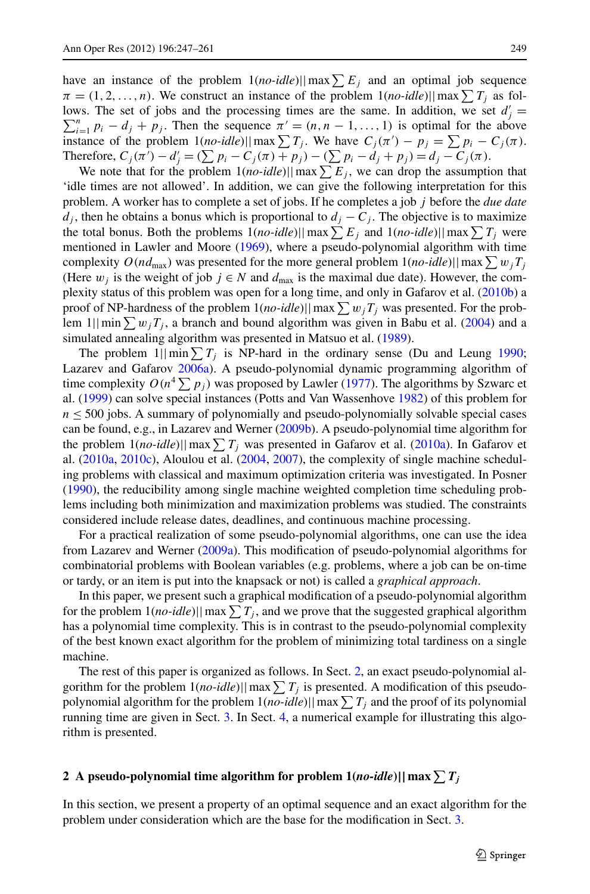have an instance of the problem  $1(no$ *-idle*)||max $\sum E_j$  and an optimal job sequence  $\pi = (1, 2, \dots, n)$ . We construct an instance of the problem  $1(no$ -*idle*)||max $\sum T_j$  as follows. The set of jobs and the processing times are the same. In addition, we set  $d'_j = \sum_{r=1}^{n} d_{r+1}$  is ortimal for the above

 $\sum_{i=1}^{n} p_i - d_j + p_j$ . Then the sequence  $\pi' = (n, n - 1, \ldots, 1)$  is optimal for the above instance of the problem  $1(no-idle) || max \sum T_j$ . We have  $C_j(\pi') - p_j = \sum p_i - C_j(\pi)$ . Therefore,  $C_j$ (π<sup>'</sup>) −  $d'_j$  = ( $\sum p_i$  −  $C_j$ (π) +  $p_j$ ) − ( $\sum p_i$  −  $d_j$  +  $p_j$ ) =  $d_j$  −  $C_j$ (π).

We note that for the problem  $1(no$ - $idle$ )||max $\sum E_j$ , we can drop the assumption that 'idle times are not allowed'. In addition, we can give the following interpretation for this problem. A worker has to complete a set of jobs. If he completes a job *j* before the *due date d<sub>j</sub>*, then he obtains a bonus which is proportional to  $d_j - C_j$ . The objective is to maximize the total bonus. Both the problems  $1(no$ -*idle*)||max $\sum E_j$  and  $1(no$ -*idle*)||max $\sum T_j$  were mentioned in Lawler and Moore [\(1969](#page-14-1)), where a pseudo-polynomial algorithm with time complexity  $O(nd_{\text{max}})$  was presented for the more general problem  $1(no$ - $idle) || max \sum w_j T_j$ (Here  $w_i$  is the weight of job  $j \in N$  and  $d_{\text{max}}$  is the maximal due date). However, the complexity status of this problem was open for a long time, and only in Gafarov et al. [\(2010b\)](#page-14-2) a proof of NP-hardness of the problem  $1(no$ - $idle)$ || max $\sum w_jT_j$  was presented. For the problem  $1$ || min $\sum w_jT_j$ , a branch and bound algorithm was given in Babu et al. ([2004\)](#page-13-1) and a simulated annealing algorithm was presented in Matsuo et al. [\(1989](#page-14-3)).

The problem  $1||\min_{i} \sum T_i$  is NP-hard in the ordinary sense (Du and Leung [1990;](#page-14-4) Lazarev and Gafarov [2006a\)](#page-14-5). A pseudo-polynomial dynamic programming algorithm of time complexity  $O(n^4 \sum p_j)$  was proposed by Lawler [\(1977](#page-14-6)). The algorithms by Szwarc et al. ([1999\)](#page-14-7) can solve special instances (Potts and Van Wassenhove [1982\)](#page-14-8) of this problem for  $n \leq 500$  jobs. A summary of polynomially and pseudo-polynomially solvable special cases can be found, e.g., in Lazarev and Werner [\(2009b\)](#page-14-9). A pseudo-polynomial time algorithm for the problem  $1(no$ *-idle*)||max $\sum T_j$  was presented in Gafarov et al. [\(2010a](#page-14-0)). In Gafarov et al. ([2010a,](#page-14-0) [2010c](#page-14-10)), Aloulou et al. ([2004](#page-13-2), [2007](#page-13-3)), the complexity of single machine scheduling problems with classical and maximum optimization criteria was investigated. In Posner ([1990\)](#page-14-11), the reducibility among single machine weighted completion time scheduling problems including both minimization and maximization problems was studied. The constraints considered include release dates, deadlines, and continuous machine processing.

For a practical realization of some pseudo-polynomial algorithms, one can use the idea from Lazarev and Werner ([2009a\)](#page-14-12). This modification of pseudo-polynomial algorithms for combinatorial problems with Boolean variables (e.g. problems, where a job can be on-time or tardy, or an item is put into the knapsack or not) is called a *graphical approach*.

In this paper, we present such a graphical modification of a pseudo-polynomial algorithm for the problem  $1(no$ -idle)|| max  $\sum T_j$ , and we prove that the suggested graphical algorithm has a polynomial time complexity. This is in contrast to the pseudo-polynomial complexity of the best known exact algorithm for the problem of minimizing total tardiness on a single machine.

<span id="page-2-0"></span>The rest of this paper is organized as follows. In Sect. [2,](#page-2-0) an exact pseudo-polynomial algorithm for the problem  $1(no-idle)||max \sum T_j$  is presented. A modification of this pseudopolynomial algorithm for the problem  $1(no\text{-}idle)||\max\sum T_j$  and the proof of its polynomial running time are given in Sect. [3.](#page-3-0) In Sect. [4,](#page-9-0) a numerical example for illustrating this algorithm is presented.

# $2$  A pseudo-polynomial time algorithm for problem  $1(no\text{-}idle) || \max\sum T_j$

In this section, we present a property of an optimal sequence and an exact algorithm for the problem under consideration which are the base for the modification in Sect. [3.](#page-3-0)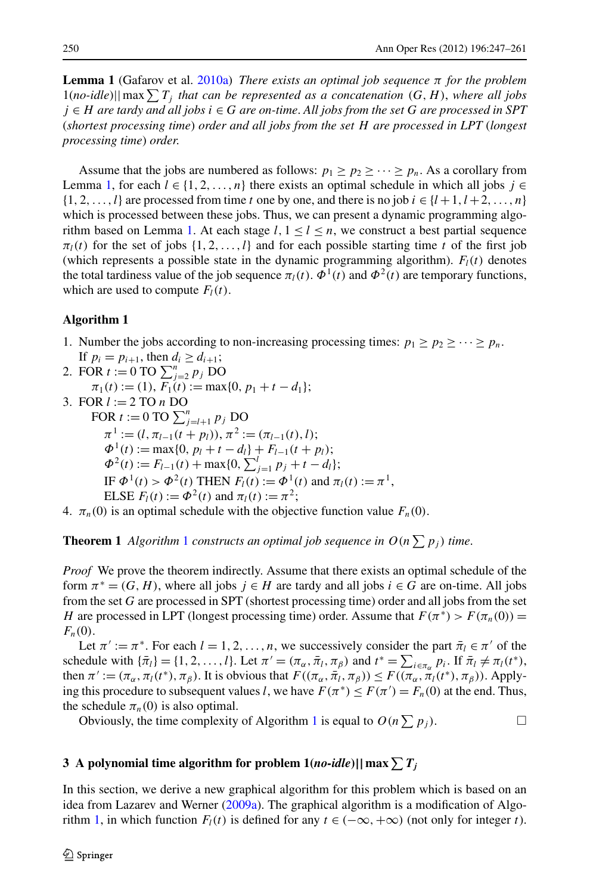<span id="page-3-1"></span>**Lemma 1** (Gafarov et al. [2010a](#page-14-0)) *There exists an optimal job sequence π for the problem* 1(no-idle)|| max  $\sum T_j$  that can be represented as a concatenation  $(G, H)$ , where all jobs *j* ∈ *H are tardy and all jobs i* ∈ *G are on-time*. *All jobs from the set G are processed in SPT* (*shortest processing time*) *order and all jobs from the set H are processed in LPT* (*longest processing time*) *order*.

<span id="page-3-2"></span>Assume that the jobs are numbered as follows:  $p_1 \geq p_2 \geq \cdots \geq p_n$ . As a corollary from Lemma [1](#page-3-1), for each  $l \in \{1, 2, ..., n\}$  there exists an optimal schedule in which all jobs  $j \in$  $\{1, 2, \ldots, l\}$  are processed from time *t* one by one, and there is no job  $i \in \{l+1, l+2, \ldots, n\}$ which is processed between these jobs. Thus, we can present a dynamic programming algo-rithm based on Lemma [1.](#page-3-1) At each stage  $l, 1 \leq l \leq n$ , we construct a best partial sequence  $\pi_l(t)$  for the set of jobs  $\{1, 2, \ldots, l\}$  and for each possible starting time *t* of the first job (which represents a possible state in the dynamic programming algorithm).  $F_l(t)$  denotes the total tardiness value of the job sequence  $\pi_l(t)$ .  $\Phi^1(t)$  and  $\Phi^2(t)$  are temporary functions, which are used to compute  $F_l(t)$ .

#### **Algorithm 1**

- 1. Number the jobs according to non-increasing processing times:  $p_1 \geq p_2 \geq \cdots \geq p_n$ .
- If  $p_i = p_{i+1}$ , then  $d_i \geq d_{i+1}$ ;
- 2. FOR  $t := 0$  TO  $\sum_{j=2}^{n} p_j$  DO  $\pi_1(t) := (1), F_1(t) := \max\{0, p_1 + t - d_1\};$
- 3. FOR *l* := 2 TO *n* DO
- FOR  $t := 0$  TO  $\sum_{j=l+1}^{n} p_j$  DO  $\pi^{1} := (l, \pi_{l-1}(t + p_l)), \pi^{2} := (\pi_{l-1}(t), l);$  $\Phi^1(t) := \max\{0, p_l + t - d_l\} + F_{l-1}(t + p_l);$  $\Phi^2(t) := F_{l-1}(t) + \max\{0, \sum_{j=1}^l p_j + t - d_l\};$ IF  $\Phi^1(t) > \Phi^2(t)$  THEN  $F_l(t) := \Phi^1(t)$  and  $\pi_l(t) := \pi^1$ , ELSE  $F_l(t) := \Phi^2(t)$  and  $\pi_l(t) := \pi^2$ ;
- 4.  $\pi_n(0)$  is an optimal schedule with the objective function value  $F_n(0)$ .

**Theorem [1](#page-3-2)** *Algorithm* 1 *constructs an optimal job sequence in*  $O(n \sum p_i)$  *time.* 

*Proof* We prove the theorem indirectly. Assume that there exists an optimal schedule of the form  $\pi^* = (G, H)$ , where all jobs  $j \in H$  are tardy and all jobs  $i \in G$  are on-time. All jobs from the set *G* are processed in SPT (shortest processing time) order and all jobs from the set *H* are processed in LPT (longest processing time) order. Assume that  $F(\pi^*) > F(\pi_n(0)) =$  $F_n(0)$ .

<span id="page-3-0"></span>Let  $\pi' := \pi^*$ . For each  $l = 1, 2, ..., n$ , we successively consider the part  $\bar{\pi}_l \in \pi'$  of the schedule with  $\{\bar{\pi}_l\}={1, 2, ..., l}$ . Let  $\pi' = (\pi_\alpha, \bar{\pi}_l, \pi_\beta)$  and  $t^* = \sum_{i \in \pi_\alpha} p_i$ . If  $\bar{\pi}_l \neq \pi_l(t^*)$ , then  $\pi' := (\pi_\alpha, \pi_l(t^*), \pi_\beta)$ . It is obvious that  $F((\pi_\alpha, \bar{\pi}_l, \pi_\beta)) \leq F((\pi_\alpha, \bar{\pi}_l(t^*), \pi_\beta))$ . Applying this procedure to subsequent values *l*, we have  $F(\pi^*) \leq F(\pi') = F_n(0)$  at the end. Thus, the schedule  $\pi_n(0)$  is also optimal.

Obviously, the time complexity of Algorithm [1](#page-3-2) is equal to  $O(n \sum p_j)$ .

# $\mathbf{3}$  A polynomial time algorithm for problem  $\mathbb{1}(no\text{-}idle)| |\max \sum T_j$

In this section, we derive a new graphical algorithm for this problem which is based on an idea from Lazarev and Werner [\(2009a\)](#page-14-12). The graphical algorithm is a modification of Algo-rithm [1,](#page-3-2) in which function  $F_l(t)$  is defined for any  $t \in (-\infty, +\infty)$  (not only for integer *t*).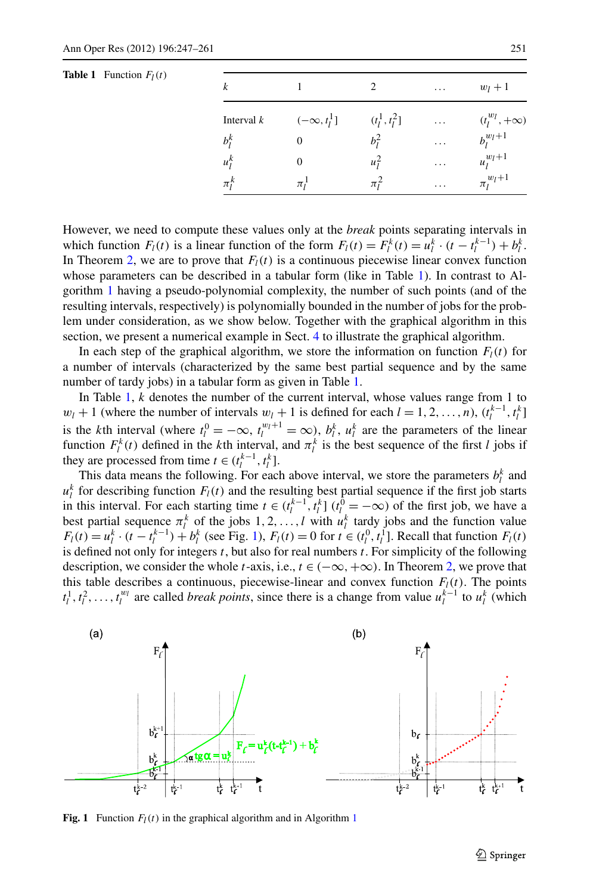<span id="page-4-0"></span>

| k            |                    | 2                | $\cdots$ | $w_l+1$                |
|--------------|--------------------|------------------|----------|------------------------|
| Interval $k$ | $(-\infty, t_1^1]$ | $(t_l^1, t_l^2]$ | $\cdots$ | $(t_l^{w_l}, +\infty)$ |
| $b_i^k$      | 0                  | $b_i^2$          | .        | $b_l^{w_l+1}$          |
| $u_i^k$      | 0                  | $u_i^2$          | $\cdots$ | $u_l^{w_l+1}$          |
| $\pi_l^k$    | $\pi_i^1$          | $\pi_i^2$        | $\cdots$ | $\pi_l^{w_l+1}$        |

However, we need to compute these values only at the *break* points separating intervals in which function  $F_l(t)$  is a linear function of the form  $F_l(t) = F_l^k(t) = u_l^k \cdot (t - t_l^{k-1}) + b_l^k$ . In Theorem [2](#page-8-0), we are to prove that  $F_l(t)$  is a continuous piecewise linear convex function whose parameters can be described in a tabular form (like in Table [1](#page-4-0)). In contrast to Algorithm [1](#page-3-2) having a pseudo-polynomial complexity, the number of such points (and of the resulting intervals, respectively) is polynomially bounded in the number of jobs for the problem under consideration, as we show below. Together with the graphical algorithm in this section, we present a numerical example in Sect. [4](#page-9-0) to illustrate the graphical algorithm.

In each step of the graphical algorithm, we store the information on function  $F_l(t)$  for a number of intervals (characterized by the same best partial sequence and by the same number of tardy jobs) in a tabular form as given in Table [1.](#page-4-0)

In Table [1,](#page-4-0) *k* denotes the number of the current interval, whose values range from 1 to  $w_l + 1$  (where the number of intervals  $w_l + 1$  is defined for each  $l = 1, 2, ..., n$ ),  $(t_l^{k-1}, t_l^k]$ is the *k*th interval (where  $t_l^0 = -\infty$ ,  $t_l^{w_l+1} = \infty$ ),  $b_l^k$ ,  $u_l^k$  are the parameters of the linear function  $F_l^k(t)$  defined in the *k*th interval, and  $\pi_l^k$  is the best sequence of the first *l* jobs if they are processed from time  $t \in (t_l^{k-1}, t_l^k]$ .

This data means the following. For each above interval, we store the parameters  $b_l^k$  and  $u_l^k$  for describing function  $F_l(t)$  and the resulting best partial sequence if the first job starts in this interval. For each starting time  $t \in (t_l^{k-1}, t_l^k]$   $(t_l^0 = -\infty)$  of the first job, we have a best partial sequence  $\pi_l^k$  of the jobs 1, 2, ..., l with  $u_l^k$  tardy jobs and the function value  $F_l(t) = u_l^k \cdot (t - t_l^{k-1}) + b_l^k$  $F_l(t) = u_l^k \cdot (t - t_l^{k-1}) + b_l^k$  $F_l(t) = u_l^k \cdot (t - t_l^{k-1}) + b_l^k$  (see Fig. 1),  $F_l(t) = 0$  for  $t \in (t_l^0, t_l^1]$ . Recall that function  $F_l(t)$ is defined not only for integers *t*, but also for real numbers *t*. For simplicity of the following description, we consider the whole *t*-axis, i.e.,  $t \in (-\infty, +\infty)$ . In Theorem [2](#page-8-0), we prove that this table describes a continuous, piecewise-linear and convex function  $F_l(t)$ . The points  $t_1^1, t_1^2, \ldots, t_l^{w_l}$  are called *break points*, since there is a change from value  $u_1^{k-1}$  to  $u_i^k$  (which

<span id="page-4-1"></span>

**Fig. [1](#page-3-2)** Function  $F_l(t)$  in the graphical algorithm and in Algorithm 1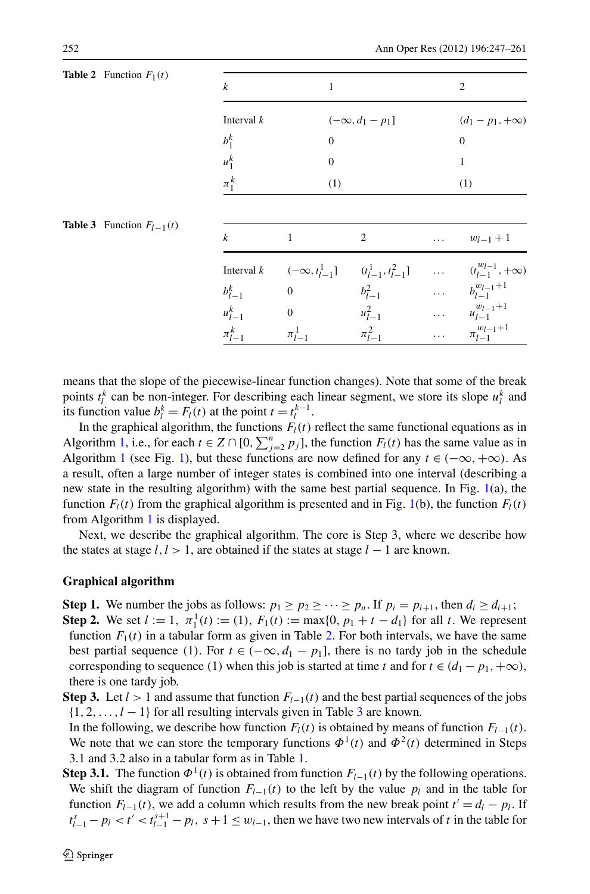| $\boldsymbol{k}$ | 1                                                                    |                        |                                  | $\overline{2}$                                                                                |
|------------------|----------------------------------------------------------------------|------------------------|----------------------------------|-----------------------------------------------------------------------------------------------|
| Interval $k$     |                                                                      | $(-\infty, d_1 - p_1]$ |                                  | $(d_1 - p_1, +\infty)$                                                                        |
| $b_1^k$          | $\mathbf{0}$                                                         |                        |                                  | $\overline{0}$                                                                                |
| $u_1^k$          | $\boldsymbol{0}$                                                     |                        |                                  | $\mathbf{1}$                                                                                  |
| $\pi_1^k$        | (1)                                                                  |                        |                                  | (1)                                                                                           |
|                  |                                                                      |                        |                                  |                                                                                               |
| $\boldsymbol{k}$ | 1                                                                    | 2                      | .                                |                                                                                               |
|                  | Interval $k \quad (-\infty, t_{l-1}^1] \quad (t_{l-1}^1, t_{l-1}^2]$ |                        | $\Delta\Delta\Delta\approx 0.01$ |                                                                                               |
| $b_{l-1}^k$      | $\overline{0}$                                                       | $b_{l-1}^2$            | $\mathbb{R}^{2}$ .               |                                                                                               |
| $u_{l-1}^k$      | $\mathbf{0}$                                                         | $u_{l-1}^2$            | $\mathbb{R}^{n \times n}$        | $w_{l-1}+1$<br>$(t^{w_l-1}_{l-1}, +\infty)$<br>$b_{l-1}^{w_{l-1}+1}$<br>$u_{l-1}^{w_{l-1}+1}$ |

<span id="page-5-1"></span><span id="page-5-0"></span>**Table 2** Function  $F_1(t)$ 

**Table 3** Function  $F<sub>l−1</sub>$ 

means that the slope of the piecewise-linear function changes). Note that some of the break points  $t_l^k$  can be non-integer. For describing each linear segment, we store its slope  $u_l^k$  and its function value  $b_l^k = F_l(t)$  at the point  $t = t_l^{k-1}$ .

In the graphical algorithm, the functions  $F_l(t)$  reflect the same functional equations as in Algorithm [1](#page-3-2), i.e., for each  $t \in Z \cap [0, \sum_{j=2}^{n} p_j]$ , the function  $F_l(t)$  has the same value as in Algorithm [1](#page-3-2) (see Fig. [1\)](#page-4-1), but these functions are now defined for any  $t \in (-\infty, +\infty)$ . As a result, often a large number of integer states is combined into one interval (describing a new state in the resulting algorithm) with the same best partial sequence. In Fig. [1](#page-4-1)(a), the function  $F_l(t)$  from the graphical algorithm is presented and in Fig. [1\(](#page-4-1)b), the function  $F_l(t)$ from Algorithm [1](#page-3-2) is displayed.

Next, we describe the graphical algorithm. The core is Step 3, where we describe how the states at stage *l,l >* 1, are obtained if the states at stage *l* − 1 are known.

### **Graphical algorithm**

**Step 1.** We number the jobs as follows:  $p_1 \geq p_2 \geq \cdots \geq p_n$ . If  $p_i = p_{i+1}$ , then  $d_i \geq d_{i+1}$ ;

- **Step 2.** We set  $l := 1$ ,  $\pi_1^1(t) := (1)$ ,  $F_1(t) := \max\{0, p_1 + t d_1\}$  for all *t*. We represent function  $F_1(t)$  in a tabular form as given in Table [2.](#page-5-0) For both intervals, we have the same best partial sequence (1). For  $t \in (-\infty, d_1 - p_1]$ , there is no tardy job in the schedule corresponding to sequence (1) when this job is started at time *t* and for  $t \in (d_1 - p_1, +\infty)$ , there is one tardy job.
- **Step 3.** Let  $l > 1$  and assume that function  $F_{l-1}(t)$  and the best partial sequences of the jobs  $\{1, 2, \ldots, l-1\}$  for all resulting intervals given in Table [3](#page-5-1) are known.

In the following, we describe how function *Fl(t)* is obtained by means of function *Fl*<sup>−</sup>1*(t)*. We note that we can store the temporary functions  $\Phi^1(t)$  and  $\Phi^2(t)$  determined in Steps 3.1 and 3.2 also in a tabular form as in Table [1.](#page-4-0)

**Step 3.1.** The function  $\Phi^1(t)$  is obtained from function  $F_{l-1}(t)$  by the following operations. We shift the diagram of function  $F_{l-1}(t)$  to the left by the value  $p_l$  and in the table for function  $F_{l-1}(t)$ , we add a column which results from the new break point  $t' = d_l - p_l$ . If  $t_{l-1}^s - p_l < t' < t_{l-1}^{s+1} - p_l$ ,  $s+1 \le w_{l-1}$ , then we have two new intervals of *t* in the table for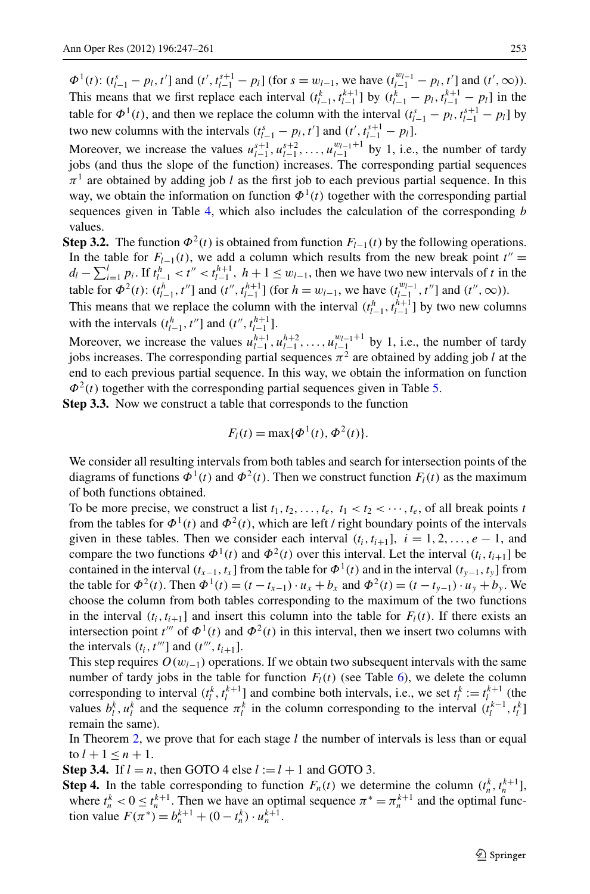$\Phi^1(t)$ :  $(t_{l-1}^s - p_l, t']$  and  $(t', t_{l-1}^{s+1} - p_l]$  (for  $s = w_{l-1}$ , we have  $(t_{l-1}^{w_{l-1}} - p_l, t']$  and  $(t', \infty)$ ). This means that we first replace each interval  $(t_{l-1}^k, t_{l-1}^{k+1}]$  by  $(t_{l-1}^k - p_l, t_{l-1}^{k+1} - p_l]$  in the table for  $\Phi^1(t)$ , and then we replace the column with the interval  $(t_{l-1}^s - p_l, t_{l-1}^{s+1} - p_l]$  by *two new columns with the intervals*  $(t_{l-1}^s - p_l, t']$  *and*  $(t', t_{l-1}^{s+1} - p_l]$ *.* 

Moreover, we increase the values  $u_{l-1}^{s+1}, u_{l-1}^{s+2}, \ldots, u_{l-1}^{w_{l-1}+1}$  by 1, i.e., the number of tardy jobs (and thus the slope of the function) increases. The corresponding partial sequences  $\pi^1$  are obtained by adding job *l* as the first job to each previous partial sequence. In this way, we obtain the information on function  $\Phi^1(t)$  together with the corresponding partial sequences given in Table [4](#page-7-0), which also includes the calculation of the corresponding *b* values.

**Step 3.2.** The function  $\Phi^2(t)$  is obtained from function  $F_{l-1}(t)$  by the following operations. In the table for  $F_{l-1}(t)$ , we add a column which results from the new break point  $t'' =$  $d_l - \sum_{i=1}^l p_i$ . If  $t_{l-1}^h < t'' < t_{l-1}^{h+1}$ ,  $h+1 \le w_{l-1}$ , then we have two new intervals of *t* in the table for  $\Phi^2(t)$ :  $(t_{l-1}^h, t'']$  and  $(t'', t_{l-1}^{h+1}]$  (for  $h = w_{l-1}$ , we have  $(t_{l-1}^{w_{l-1}}, t'']$  and  $(t'', \infty)$ ).

This means that we replace the column with the interval  $(t_{l-1}^h, t_{l-1}^{h+1}]$  by two new columns with the intervals  $(t_{l-1}^h, t'']$  and  $(t'', t_{l-1}^{h+1}]$ .

Moreover, we increase the values  $u_{l-1}^{h+1}, u_{l-1}^{h+2}, \ldots, u_{l-1}^{w_{l-1}+1}$  by 1, i.e., the number of tardy jobs increases. The corresponding partial sequences  $\pi^2$  are obtained by adding job *l* at the end to each previous partial sequence. In this way, we obtain the information on function  $\Phi^2(t)$  together with the corresponding partial sequences given in Table [5](#page-7-1).

**Step 3.3.** Now we construct a table that corresponds to the function

$$
F_l(t) = \max{\{\Phi^1(t), \Phi^2(t)\}}.
$$

We consider all resulting intervals from both tables and search for intersection points of the diagrams of functions  $\Phi^1(t)$  and  $\Phi^2(t)$ . Then we construct function  $F_l(t)$  as the maximum of both functions obtained.

To be more precise, we construct a list  $t_1, t_2, \ldots, t_e, t_1 < t_2 < \cdots, t_e$ , of all break points *t* from the tables for  $\Phi^1(t)$  and  $\Phi^2(t)$ , which are left / right boundary points of the intervals given in these tables. Then we consider each interval  $(t_i, t_{i+1}]$ ,  $i = 1, 2, \ldots, e-1$ , and compare the two functions  $\Phi^1(t)$  and  $\Phi^2(t)$  over this interval. Let the interval  $(t_i, t_{i+1}]$  be contained in the interval  $(t_{x-1}, t_x]$  from the table for  $\Phi^1(t)$  and in the interval  $(t_{y-1}, t_y]$  from the table for  $\Phi^2(t)$ . Then  $\Phi^1(t) = (t - t_{x-1}) \cdot u_x + b_x$  and  $\Phi^2(t) = (t - t_{y-1}) \cdot u_y + b_y$ . We choose the column from both tables corresponding to the maximum of the two functions in the interval  $(t_i, t_{i+1})$  and insert this column into the table for  $F_l(t)$ . If there exists an intersection point  $t'''$  of  $\Phi^1(t)$  and  $\Phi^2(t)$  in this interval, then we insert two columns with the intervals  $(t_i, t^{\prime\prime\prime}]$  and  $(t^{\prime\prime\prime}, t_{i+1}]$ .

This step requires  $O(w_{l-1})$  operations. If we obtain two subsequent intervals with the same number of tardy jobs in the table for function  $F_l(t)$  (see Table [6\)](#page-8-1), we delete the column corresponding to interval  $(t_l^k, t_l^{k+1}]$  and combine both intervals, i.e., we set  $t_l^k := t_l^{k+1}$  (the values  $b_l^k$ ,  $u_l^k$  and the sequence  $\pi_l^k$  in the column corresponding to the interval  $(t_l^{k-1}, t_l^k]$ remain the same).

In Theorem [2,](#page-8-0) we prove that for each stage *l* the number of intervals is less than or equal to  $l + 1 \le n + 1$ .

**Step 3.4.** If  $l = n$ , then GOTO 4 else  $l := l + 1$  and GOTO 3.

**Step 4.** In the table corresponding to function  $F_n(t)$  we determine the column  $(t_n^k, t_n^{k+1}]$ , where  $t_n^k < 0 \le t_n^{k+1}$ . Then we have an optimal sequence  $\pi^* = \pi_n^{k+1}$  and the optimal function value  $F(\pi^*) = b_n^{k+1} + (0 - t_n^k) \cdot u_n^{k+1}$ .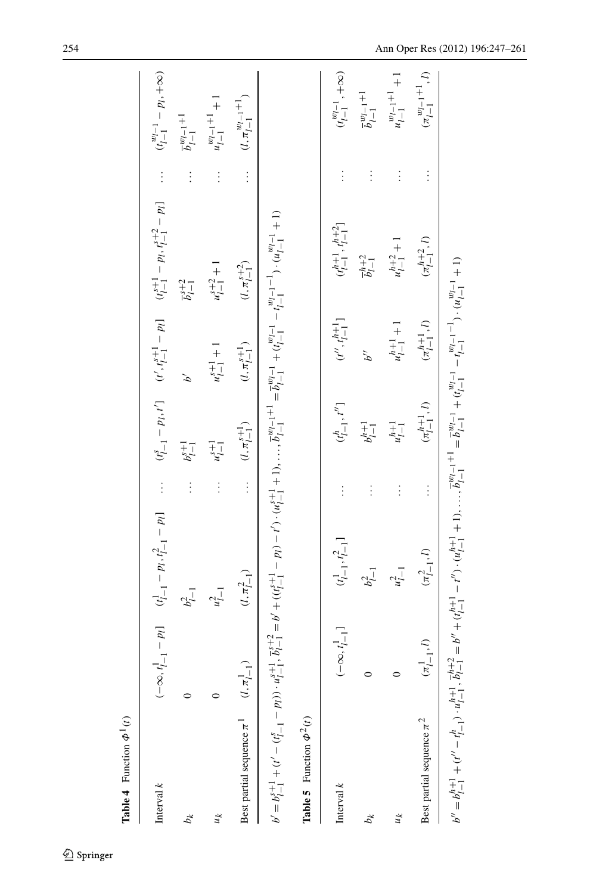<span id="page-7-1"></span><span id="page-7-0"></span>

| <b>Table 4</b> Function $\Phi^1(t)$                                                                                                                                                                                                                                                                                                        |                              |                                                                   |               |                                       |                                                     |                                              |          |                                             |
|--------------------------------------------------------------------------------------------------------------------------------------------------------------------------------------------------------------------------------------------------------------------------------------------------------------------------------------------|------------------------------|-------------------------------------------------------------------|---------------|---------------------------------------|-----------------------------------------------------|----------------------------------------------|----------|---------------------------------------------|
| Interval $k$                                                                                                                                                                                                                                                                                                                               |                              | $(-\infty, t_{l-1}^1 - p_l]$ $(t_{l-1}^1 - p_l, t_{l-1}^2 - p_l]$ | $\vdots$      |                                       | $(t_{l-1}^s - p_l, t')$ $(t', t_{l-1}^{s+1} - p_l)$ | $(t_{l-1}^{s+1} - p_l, t_{l-1}^{s+2} - p_l)$ | $\vdots$ | $(t_{l-1}^{w_{l-1}^\prime} - p_l, +\infty)$ |
| $b_k$                                                                                                                                                                                                                                                                                                                                      |                              | $b_{l-1}^2$                                                       | $\vdots$      | $b^{s+1}_{l-1}$                       | é                                                   | $\overline{b}_{l-1}^{s+2}$                   | $\vdots$ | $\overline{b}^{w_{l-1}+1}_{l-1}$            |
| $\mu$                                                                                                                                                                                                                                                                                                                                      |                              | $u_{l-1}^2$                                                       | $\vdots$      | $u_{l-1}^{s+1}$                       | $u_{l-1}^{s+1}$ + 1                                 | $u_{l-1}^{s+2}+1$                            | $\vdots$ | $u_{l-1}^{w_{l-1}+1}+1$                     |
| Best partial sequence $\pi^1$                                                                                                                                                                                                                                                                                                              | $(l, \pi_{l-1}^1)$           | $(l, \pi_{l-1}^2)$                                                | $\frac{1}{2}$ | $(l,\pi^{s+1}_{l-1})$                 | $(l,\pi^{s+1}_{l-1})$                               | $(l, \pi^{s+2}_{l-1})$                       | $\vdots$ | $(l,\pi_{l-1}^{w_{l-1}+1})$                 |
| $b' = b_1^{s+1} + (t' - (t_{i-1}^s - p_i)) \cdot u_{i-1}^{s+1}, \overline{b}_i^{s+2} = b' + ((t_{i-1}^{s+1} - p_i) - t') \cdot (u_{i-1}^{s+1} + 1), \dots, \overline{b}_{i-1}^{w_{i-1}+1} = \overline{b}_{i-1}^{w_{i-1}} + (t_{i-1}^{w_{i-1}} - t_{i-1}^{w_{i-1}-1}) \cdot (u_{i-1}^{w_{i-1}} + 1)$<br><b>Table 5</b> Function $\Phi^2(t)$ |                              |                                                                   |               |                                       |                                                     |                                              |          |                                             |
|                                                                                                                                                                                                                                                                                                                                            |                              |                                                                   |               |                                       |                                                     |                                              |          |                                             |
| Interval $k$                                                                                                                                                                                                                                                                                                                               | $(-\infty, t_{l-1}^{\perp}]$ | $(t_{l-1}^1, t_{l-1}^2]$                                          |               | $\binom{t^h}{l-1}, t^{\prime\prime}]$ | $(t^{\prime\prime},t^{h+1}_{l-1}]$                  | $(t^{h+1}_{l-1},t^{h+2}_{l-1})$              | $\vdots$ | $(t_{l-1}^{w_{l-1}}\cdot+\infty)$           |
| $b_k$                                                                                                                                                                                                                                                                                                                                      | $\circ$                      | $b_{l-1}^2$                                                       |               | $b^{h+1}_{l-1}$                       | b''                                                 | $b_{l-1}^{h+2}$                              | $\vdots$ | $\overline{b}_{l-1}^{w_{l-1}+1}$            |
| $\mu$                                                                                                                                                                                                                                                                                                                                      | $\circ$                      | $u_{l-1}^2$                                                       | $\vdots$      | $u_{l-1}^{h+1}$                       | $u_{l-1}^{h+1} + 1$                                 | $u_{l-1}^{h+2} + 1$                          | $\vdots$ | $u_{l-1}^{w_{l-1}+1}+1$                     |
| Best partial sequence $\pi^2$                                                                                                                                                                                                                                                                                                              | $(\pi^1_{l-1},l)$            | $(\pi_{l-1}^2,l)$                                                 |               | $(\pi^{h+1}_{l-1},l)$                 | $(\pi^{h+1}_{l-1},l)$                               | $(\pi^{h+2}_{l-1},l)$                        | $\vdots$ | $(\pi_{l-1}^{w_{l-1}+1},l)$                 |
| $b'' = b_1^{h+1} + (t'' - t_1^h), u_1^{h+1}, \overline{b}_1^{h+2} = b'' + (t_1^{h+1} - t''), (u_1^{h+1} + 1), \dots, \overline{b}_{1'-1}^{w_1-1} + 1 = \overline{b}_1^{w_1-1} + (t_{1-1}'^{h-1} - t_{1-1}^{w_1-1}), (u_{1-1}'^{h-1} + 1)$                                                                                                  |                              |                                                                   |               |                                       |                                                     |                                              |          |                                             |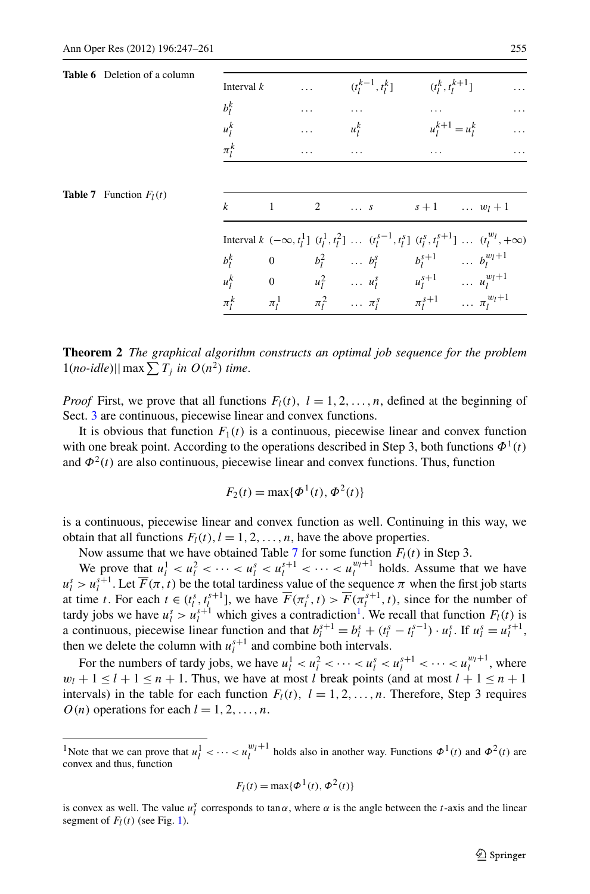<span id="page-8-2"></span><span id="page-8-1"></span>

| <b>Table 6</b> Deletion of a column | Interval $k$<br>$b_l^k$<br>$u_l^k$ | $\cdots$ | $\cdots$ | $(t_l^{k-1}, t_l^k]$ $(t_l^k, t_l^{k+1}]$<br>$\ldots$<br>$u_1^k$                                                                                                                    | $\cdots$<br>$u_1^{k+1} = u_1^k$ | $\ddots$                                                                                                                                   |
|-------------------------------------|------------------------------------|----------|----------|-------------------------------------------------------------------------------------------------------------------------------------------------------------------------------------|---------------------------------|--------------------------------------------------------------------------------------------------------------------------------------------|
| <b>Table 7</b> Function $F_I(t)$    | $\pi_l^k$<br>$k \qquad \qquad 1$   | .        |          | $\cdots$<br>2  s $s+1$ $w_l+1$                                                                                                                                                      | .                               | .                                                                                                                                          |
|                                     |                                    |          |          | $b_l^k$ 0 $b_l^2$ $b_l^s$ $b_l^{s+1}$ $b_l^{w_l+1}$<br>$u_l^k$ 0 $u_l^2$ $u_l^s$ $u_l^{s+1}$ $u_l^{w_l+1}$<br>$\pi_l^k$ $\pi_l^1$ $\pi_l^2$ $\pi_l^s$ $\pi_l^{s+1}$ $\pi_l^{w_l+1}$ |                                 | Interval $k \, (-\infty, t_1^1] \, (t_1^1, t_1^2] \, \ldots \, (t_1^{s-1}, t_1^s] \, (t_1^s, t_1^{s+1}] \, \ldots \, (t_1^{w_l}, +\infty)$ |

<span id="page-8-0"></span>**Theorem 2** *The graphical algorithm constructs an optimal job sequence for the problem*  $1(no$ -*idle*)|| max  $\sum T_j$  *in*  $O(n^2)$  *time*.

*Proof* First, we prove that all functions  $F_l(t)$ ,  $l = 1, 2, \ldots, n$ , defined at the beginning of Sect. [3](#page-3-0) are continuous, piecewise linear and convex functions.

It is obvious that function  $F_1(t)$  is a continuous, piecewise linear and convex function with one break point. According to the operations described in Step 3, both functions  $\Phi^1(t)$ and  $\Phi^2(t)$  are also continuous, piecewise linear and convex functions. Thus, function

$$
F_2(t) = \max\{\Phi^1(t), \Phi^2(t)\}\
$$

is a continuous, piecewise linear and convex function as well. Continuing in this way, we obtain that all functions  $F_l(t)$ ,  $l = 1, 2, ..., n$ , have the above properties.

Now assume that we have obtained Table [7](#page-8-2) for some function  $F_l(t)$  in Step 3.

We prove that  $u_l^1 < u_l^2 < \cdots < u_l^s < u_l^{s+1} < \cdots < u_l^{w_l+1}$  holds. Assume that we have  $u_l^s > u_l^{s+1}$ . Let  $\overline{F}(\pi, t)$  be the total tardiness value of the sequence  $\pi$  when the first job starts at time *t*. For each  $t \in (t_i^s, t_i^{s+1}]$ , we have  $\overline{F}(\pi_i^s, t) > \overline{F}(\pi_i^{s+1}, t)$ , since for the number of tardy jobs we have  $u_l^s > u_l^{s+1}$  which gives a contradiction<sup>1</sup>. We recall that function  $F_l(t)$  is a continuous, piecewise linear function and that  $b_l^{s+1} = b_l^s + (t_l^s - t_l^{s-1}) \cdot u_l^s$ . If  $u_l^s = u_l^{s+1}$ , then we delete the column with  $u_l^{s+1}$  and combine both intervals.

<span id="page-8-3"></span>For the numbers of tardy jobs, we have  $u_l^1 < u_l^2 < \cdots < u_l^s < u_l^{s+1} < \cdots < u_l^{w_l+1}$ , where  $w_l + 1 \leq l + 1 \leq n + 1$ . Thus, we have at most *l* break points (and at most  $l + 1 \leq n + 1$ intervals) in the table for each function  $F_l(t)$ ,  $l = 1, 2, ..., n$ . Therefore, Step 3 requires  $O(n)$  operations for each  $l = 1, 2, \ldots, n$ .

$$
F_l(t) = \max{\{\Phi^1(t), \Phi^2(t)\}}
$$

<sup>&</sup>lt;sup>1</sup>Note that we can prove that  $u_l^1 < \cdots < u_l^{w_l+1}$  holds also in another way. Functions  $\Phi^1(t)$  and  $\Phi^2(t)$  are convex and thus, function

is convex as well. The value  $u_i^s$  corresponds to tan $\alpha$ , where  $\alpha$  is the angle between the *t*-axis and the linear segment of  $F_l(t)$  (see Fig. [1](#page-4-1)).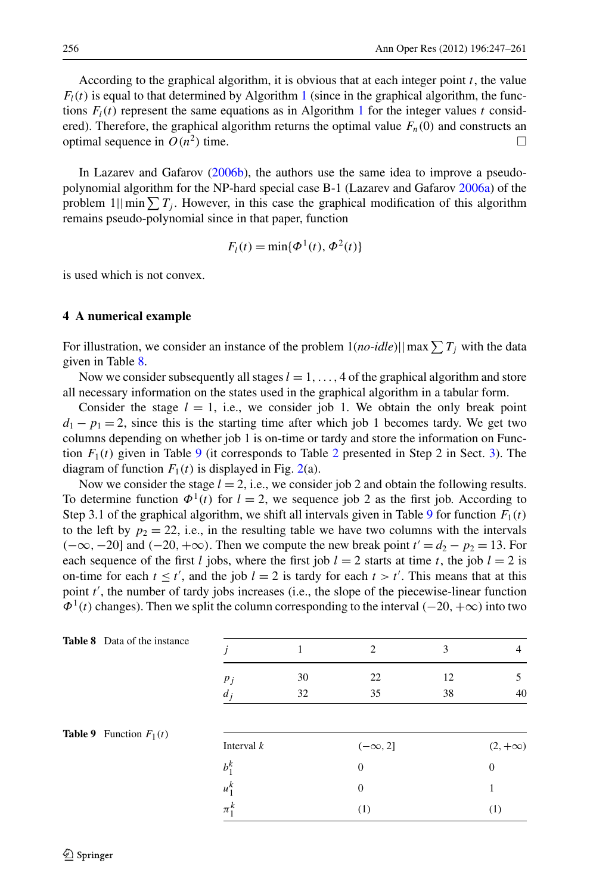According to the graphical algorithm, it is obvious that at each integer point *t*, the value  $F_l(t)$  is equal to that determined by Algorithm [1](#page-3-2) (since in the graphical algorithm, the functions  $F_l(t)$  represent the same equations as in Algorithm [1](#page-3-2) for the integer values *t* considered). Therefore, the graphical algorithm returns the optimal value  $F_n(0)$  and constructs an optimal sequence in  $O(n^2)$  time.

<span id="page-9-0"></span>In Lazarev and Gafarov ([2006b\)](#page-14-13), the authors use the same idea to improve a pseudopolynomial algorithm for the NP-hard special case B-1 (Lazarev and Gafarov [2006a](#page-14-5)) of the problem  $1||\min_{i} \sum T_i$ . However, in this case the graphical modification of this algorithm remains pseudo-polynomial since in that paper, function

$$
F_l(t) = \min{\{\Phi^1(t), \Phi^2(t)\}}
$$

is used which is not convex.

### **4 A numerical example**

For illustration, we consider an instance of the problem  $1(no$ - $idle)$ || max $\sum T_j$  with the data given in Table [8](#page-9-1).

Now we consider subsequently all stages  $l = 1, \ldots, 4$  of the graphical algorithm and store all necessary information on the states used in the graphical algorithm in a tabular form.

Consider the stage  $l = 1$ , i.e., we consider job 1. We obtain the only break point  $d_1 - p_1 = 2$ , since this is the starting time after which job 1 becomes tardy. We get two columns depending on whether job 1 is on-time or tardy and store the information on Function  $F_1(t)$  given in Table [9](#page-9-2) (it corresponds to Table [2](#page-5-0) presented in Step 2 in Sect. [3](#page-3-0)). The diagram of function  $F_1(t)$  is displayed in Fig. [2](#page-10-0)(a).

<span id="page-9-1"></span>Now we consider the stage  $l = 2$ , i.e., we consider job 2 and obtain the following results. To determine function  $\Phi^1(t)$  for  $l = 2$ , we sequence job 2 as the first job. According to Step 3.1 of the graphical algorithm, we shift all intervals given in Table [9](#page-9-2) for function  $F_1(t)$ to the left by  $p_2 = 22$ , i.e., in the resulting table we have two columns with the intervals  $(-\infty, -20]$  and  $(-20, +\infty)$ . Then we compute the new break point  $t' = d_2 - p_2 = 13$ . For each sequence of the first *l* jobs, where the first job  $l = 2$  starts at time *t*, the job  $l = 2$  is on-time for each  $t \leq t'$ , and the job  $l = 2$  is tardy for each  $t > t'$ . This means that at this point *t'*, the number of tardy jobs increases (i.e., the slope of the piecewise-linear function *Φ*<sup>1</sup>*(t)* changes). Then we split the column corresponding to the interval *(*−20*,*+∞*)* into two

<span id="page-9-2"></span>

| <b>Table 8</b> Data of the instance |                |          | 2                | 3        | 4              |
|-------------------------------------|----------------|----------|------------------|----------|----------------|
|                                     | $p_j$<br>$d_j$ | 30<br>32 | 22<br>35         | 12<br>38 | 5<br>40        |
| <b>Table 9</b> Function $F_1(t)$    | Interval $k$   |          | $(-\infty, 2]$   |          | $(2, +\infty)$ |
|                                     | $b_1^k$        |          | $\boldsymbol{0}$ |          | $\overline{0}$ |
|                                     | $u_1^k$        |          | $\mathbf{0}$     |          |                |
|                                     | $\pi_1^k$      |          | (1)              |          | (1)            |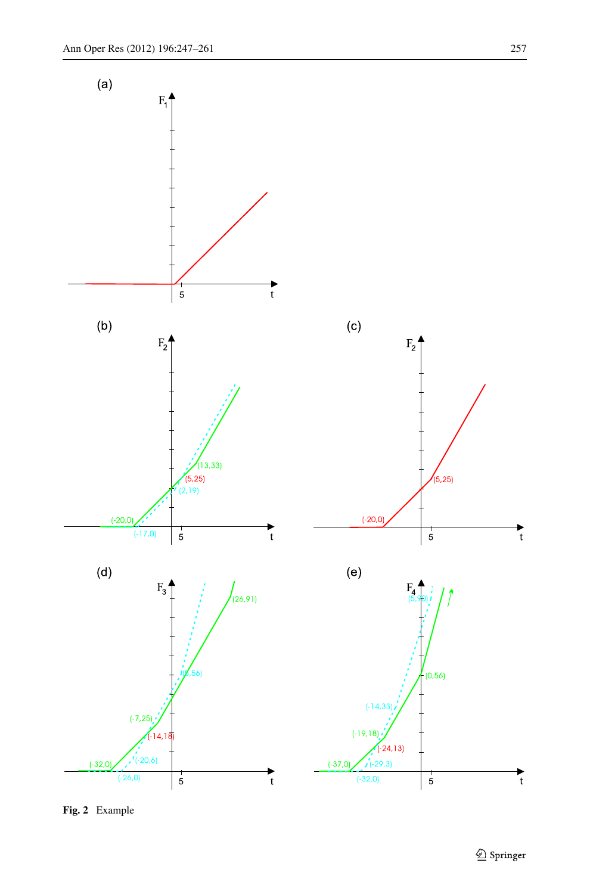

<span id="page-10-0"></span>**Fig. 2** Example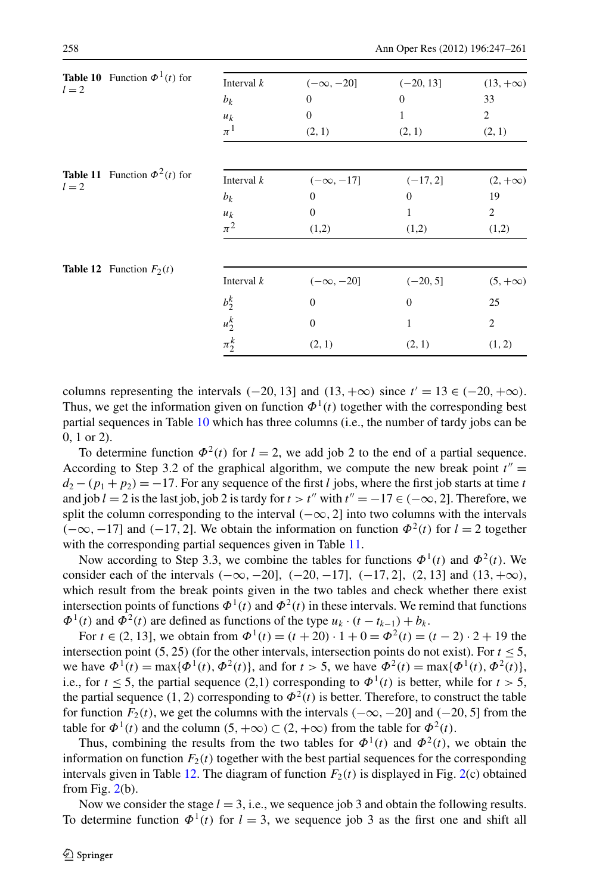<span id="page-11-2"></span><span id="page-11-1"></span><span id="page-11-0"></span>

| $l=2$ | <b>Table 10</b> Function $\Phi^1(t)$ for | Interval $k$ | $(-\infty, -20]$ | $(-20, 13]$  | $(13, +\infty)$ |
|-------|------------------------------------------|--------------|------------------|--------------|-----------------|
|       |                                          | $b_k$        | $\mathbf{0}$     | $\mathbf{0}$ | 33              |
|       |                                          | $u_k$        | $\mathbf{0}$     | 1            | $\overline{c}$  |
|       |                                          | $\pi^1$      | (2, 1)           | (2, 1)       | (2, 1)          |
|       | <b>Table 11</b> Function $\Phi^2(t)$ for | Interval $k$ | $(-\infty, -17]$ | $(-17, 2]$   | $(2, +\infty)$  |
| $l=2$ |                                          | $b_k$        | $\theta$         | $\Omega$     | 19              |
|       |                                          | $u_k$        | $\mathbf{0}$     | 1            | $\overline{c}$  |
|       |                                          | $\pi^2$      | (1,2)            | (1,2)        | (1,2)           |
|       | <b>Table 12</b> Function $F_2(t)$        |              |                  |              |                 |
|       |                                          | Interval $k$ | $(-\infty, -20]$ | $(-20, 5]$   | $(5, +\infty)$  |
|       |                                          | $b_2^k$      | $\overline{0}$   | $\Omega$     | 25              |
|       |                                          | $u_2^k$      | $\overline{0}$   | 1            | $\overline{c}$  |
|       |                                          | $\pi_2^k$    | (2, 1)           | (2, 1)       | (1, 2)          |

columns representing the intervals  $(-20, 13]$  and  $(13, +\infty)$  since  $t' = 13 \in (-20, +\infty)$ . Thus, we get the information given on function  $\Phi^1(t)$  together with the corresponding best partial sequences in Table [10](#page-11-0) which has three columns (i.e., the number of tardy jobs can be 0, 1 or 2).

To determine function  $\Phi^2(t)$  for  $l = 2$ , we add job 2 to the end of a partial sequence. According to Step 3.2 of the graphical algorithm, we compute the new break point  $t'' =$  $d_2 - (p_1 + p_2) = -17$ . For any sequence of the first *l* jobs, where the first job starts at time *t* and job  $l = 2$  is the last job, job 2 is tardy for  $t > t''$  with  $t'' = -17 \in (-\infty, 2]$ . Therefore, we split the column corresponding to the interval  $(-\infty, 2]$  into two columns with the intervals *(*−∞*,*−17] and *(*−17*,* 2]. We obtain the information on function  $\Phi$ <sup>2</sup>(t) for *l* = 2 together with the corresponding partial sequences given in Table [11](#page-11-1).

Now according to Step 3.3, we combine the tables for functions  $\Phi^1(t)$  and  $\Phi^2(t)$ . We consider each of the intervals *(*−∞*,*−20]*, (*−20*,*−17]*, (*−17*,* 2]*, (*2*,* 13] and *(*13*,*+∞*)*, which result from the break points given in the two tables and check whether there exist intersection points of functions  $\Phi^1(t)$  and  $\Phi^2(t)$  in these intervals. We remind that functions  $\Phi^1(t)$  and  $\Phi^2(t)$  are defined as functions of the type  $u_k \cdot (t - t_{k-1}) + b_k$ .

For  $t \in (2, 13]$ , we obtain from  $\Phi^1(t) = (t + 20) \cdot 1 + 0 = \Phi^2(t) = (t - 2) \cdot 2 + 19$  the intersection point  $(5, 25)$  (for the other intervals, intersection points do not exist). For  $t \leq 5$ , we have  $\Phi^1(t) = \max{\{\Phi^1(t), \Phi^2(t)\}}$ , and for  $t > 5$ , we have  $\Phi^2(t) = \max{\{\Phi^1(t), \Phi^2(t)\}}$ , i.e., for  $t \leq 5$ , the partial sequence (2,1) corresponding to  $\Phi^1(t)$  is better, while for  $t > 5$ , the partial sequence (1, 2) corresponding to  $\Phi^2(t)$  is better. Therefore, to construct the table for function  $F_2(t)$ , we get the columns with the intervals  $(-\infty, -20]$  and  $(-20, 5]$  from the table for  $\Phi^1(t)$  and the column  $(5, +\infty) \subset (2, +\infty)$  from the table for  $\Phi^2(t)$ .

Thus, combining the results from the two tables for  $\Phi^1(t)$  and  $\Phi^2(t)$ , we obtain the information on function  $F_2(t)$  together with the best partial sequences for the corresponding intervals given in Table [12.](#page-11-2) The diagram of function  $F_2(t)$  $F_2(t)$  $F_2(t)$  is displayed in Fig. 2(c) obtained from Fig.  $2(b)$  $2(b)$ .

Now we consider the stage  $l = 3$ , i.e., we sequence job 3 and obtain the following results. To determine function  $\Phi^1(t)$  for  $l = 3$ , we sequence job 3 as the first one and shift all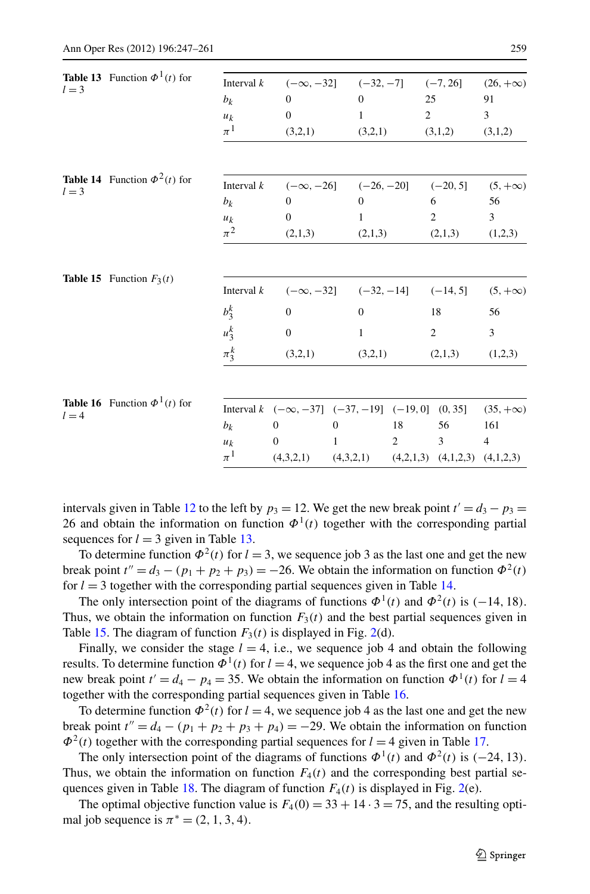<span id="page-12-2"></span><span id="page-12-1"></span><span id="page-12-0"></span>

|         | <b>Table 13</b> Function $\Phi^1(t)$ for | Interval $k$  |                  | $(-\infty, -32]$ $(-32, -7]$ $(-7, 26]$                             |                |                | $(26, +\infty)$ |
|---------|------------------------------------------|---------------|------------------|---------------------------------------------------------------------|----------------|----------------|-----------------|
| $l = 3$ |                                          | $b_k$         | $\mathbf{0}$     | $\Omega$                                                            | 25             |                | 91              |
|         |                                          | $u_k$         | $\mathbf{0}$     | $\mathbf{1}$                                                        | $\overline{2}$ |                | $\overline{3}$  |
|         |                                          | $\pi^1$       | (3,2,1)          | (3,2,1)                                                             |                | (3,1,2)        | (3,1,2)         |
|         | <b>Table 14</b> Function $\Phi^2(t)$ for |               |                  |                                                                     |                |                |                 |
| $l=3$   |                                          | Interval $k$  | $(-\infty, -26]$ | $(-26, -20]$                                                        |                | $(-20, 5]$     | $(5, +\infty)$  |
|         |                                          | $b_k$         | $\mathbf{0}$     | $\Omega$                                                            |                | 6              | 56              |
|         |                                          | $u_k$         | $\mathbf{0}$     | $\mathbf{1}$                                                        |                | $\overline{2}$ | 3               |
|         |                                          | $\pi^2$       | (2,1,3)          | (2,1,3)                                                             |                | (2,1,3)        | (1,2,3)         |
|         | <b>Table 15</b> Function $F_3(t)$        | Interval $k$  |                  | $(-\infty, -32]$ $(-32, -14]$ $(-14, 5]$                            |                |                | $(5, +\infty)$  |
|         |                                          | $b_3^k$       | $\boldsymbol{0}$ | $\mathbf{0}$                                                        |                | 18             | 56              |
|         |                                          | $u_3^k$       | $\mathbf{0}$     | $\mathbf{1}$                                                        |                | $\overline{2}$ | $\overline{3}$  |
|         |                                          | $\pi_{3}^{k}$ | (3,2,1)          | (3,2,1)                                                             |                | (2,1,3)        | (1,2,3)         |
|         |                                          |               |                  |                                                                     |                |                |                 |
| $l = 4$ | <b>Table 16</b> Function $\Phi^1(t)$ for |               |                  | Interval $k \, (-\infty, -37] \, (-37, -19] \, (-19, 0] \, (0, 35]$ |                |                | $(35, +\infty)$ |
|         |                                          | $b_k$         | $\overline{0}$   | $\Omega$                                                            | 18             | 56             | 161             |
|         |                                          | $u_k$         | $\theta$         | 1                                                                   | 2              | 3              | $\overline{4}$  |
|         |                                          | $\pi^1$       | (4,3,2,1)        | $(4,3,2,1)$ $(4,2,1,3)$ $(4,1,2,3)$ $(4,1,2,3)$                     |                |                |                 |

<span id="page-12-3"></span>intervals given in Table [12](#page-11-2) to the left by  $p_3 = 12$ . We get the new break point  $t' = d_3 - p_3 =$ 26 and obtain the information on function  $\Phi^1(t)$  together with the corresponding partial sequences for  $l = 3$  given in Table [13](#page-12-0).

To determine function  $\Phi^2(t)$  for  $l = 3$ , we sequence job 3 as the last one and get the new break point  $t'' = d_3 - (p_1 + p_2 + p_3) = -26$ . We obtain the information on function  $\Phi^2(t)$ for  $l = 3$  together with the corresponding partial sequences given in Table [14.](#page-12-1)

The only intersection point of the diagrams of functions  $\Phi^1(t)$  and  $\Phi^2(t)$  is  $(-14, 18)$ . Thus, we obtain the information on function  $F_3(t)$  and the best partial sequences given in Table [15](#page-12-2). The diagram of function  $F_3(t)$  is displayed in Fig. [2\(](#page-10-0)d).

Finally, we consider the stage  $l = 4$ , i.e., we sequence job 4 and obtain the following results. To determine function  $\Phi^1(t)$  for  $l = 4$ , we sequence job 4 as the first one and get the new break point  $t' = d_4 - p_4 = 35$ . We obtain the information on function  $\Phi^1(t)$  for  $l = 4$ together with the corresponding partial sequences given in Table [16.](#page-12-3)

To determine function  $\Phi^2(t)$  for  $l = 4$ , we sequence job 4 as the last one and get the new break point  $t'' = d_4 - (p_1 + p_2 + p_3 + p_4) = -29$ . We obtain the information on function  $\Phi^2(t)$  together with the corresponding partial sequences for  $l = 4$  given in Table [17](#page-13-4).

The only intersection point of the diagrams of functions  $\Phi^1(t)$  and  $\Phi^2(t)$  is (−24*,* 13). Thus, we obtain the information on function  $F_4(t)$  and the corresponding best partial se-quences given in Table [18](#page-13-5). The diagram of function  $F_4(t)$  is displayed in Fig. [2](#page-10-0)(e).

The optimal objective function value is  $F_4(0) = 33 + 14 \cdot 3 = 75$ , and the resulting optimal job sequence is  $\pi^* = (2, 1, 3, 4)$ .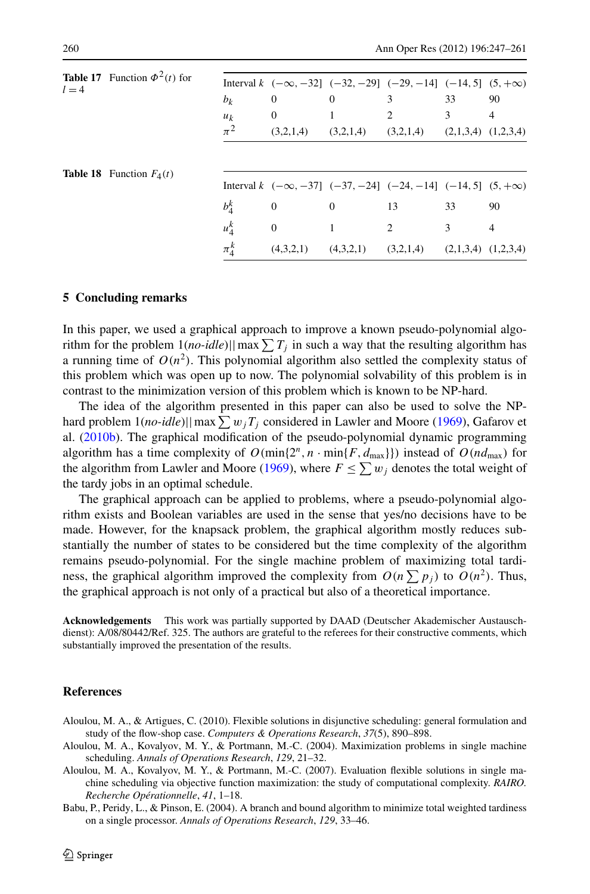<span id="page-13-5"></span><span id="page-13-4"></span>

| $l = 4$ | <b>Table 17</b> Function $\Phi^2(t)$ for |           | Interval $k \, (-\infty, -32] \, (-32, -29] \, (-29, -14] \, (-14, 5] \, (5, +\infty)$ |                                                             |                |    |                |
|---------|------------------------------------------|-----------|----------------------------------------------------------------------------------------|-------------------------------------------------------------|----------------|----|----------------|
|         |                                          | $b_k$     | $\overline{0}$                                                                         | $\theta$                                                    | 3              | 33 | 90             |
|         |                                          | $u_k$     | $\overline{0}$                                                                         |                                                             | $\overline{2}$ | 3  | 4              |
|         |                                          | $\pi^2$   | (3,2,1,4)                                                                              | $(3,2,1,4)$ $(3,2,1,4)$ $(2,1,3,4)$ $(1,2,3,4)$             |                |    |                |
|         | <b>Table 18</b> Function $F_4(t)$        |           |                                                                                        |                                                             |                |    |                |
|         |                                          |           | Interval $k \, (-\infty, -37] \, (-37, -24] \, (-24, -14] \, (-14, 5] \, (5, +\infty)$ |                                                             |                |    |                |
|         |                                          | $b_4^k$   | $\overline{0}$                                                                         | $\overline{0}$                                              | 13             | 33 | 90             |
|         |                                          | $u_4^k$   | $\overline{0}$                                                                         |                                                             | 2              | 3  | $\overline{4}$ |
|         |                                          | $\pi_A^k$ |                                                                                        | $(4,3,2,1)$ $(4,3,2,1)$ $(3,2,1,4)$ $(2,1,3,4)$ $(1,2,3,4)$ |                |    |                |

#### **5 Concluding remarks**

In this paper, we used a graphical approach to improve a known pseudo-polynomial algorithm for the problem  $1(no$ -idle)||max $\sum T_j$  in such a way that the resulting algorithm has a running time of  $O(n^2)$ . This polynomial algorithm also settled the complexity status of this problem which was open up to now. The polynomial solvability of this problem is in contrast to the minimization version of this problem which is known to be NP-hard.

The idea of the algorithm presented in this paper can also be used to solve the NPhard problem  $1(no$  *-idle*)|| max  $\sum w_jT_j$  considered in Lawler and Moore ([1969\)](#page-14-1), Gafarov et al. [\(2010b](#page-14-2)). The graphical modification of the pseudo-polynomial dynamic programming algorithm has a time complexity of  $O(\min\{2^n, n \cdot \min\{F, d_{\max}\}\})$  instead of  $O(nd_{\max})$  for the algorithm from Lawler and Moore ([1969\)](#page-14-1), where  $F \le \sum w_j$  denotes the total weight of the tardy jobs in an optimal schedule.

The graphical approach can be applied to problems, where a pseudo-polynomial algorithm exists and Boolean variables are used in the sense that yes/no decisions have to be made. However, for the knapsack problem, the graphical algorithm mostly reduces substantially the number of states to be considered but the time complexity of the algorithm remains pseudo-polynomial. For the single machine problem of maximizing total tardiness, the graphical algorithm improved the complexity from  $O(n \sum p_j)$  to  $O(n^2)$ . Thus, the graphical approach is not only of a practical but also of a theoretical importance.

<span id="page-13-3"></span><span id="page-13-2"></span><span id="page-13-0"></span>**Acknowledgements** This work was partially supported by DAAD (Deutscher Akademischer Austauschdienst): A/08/80442/Ref. 325. The authors are grateful to the referees for their constructive comments, which substantially improved the presentation of the results.

#### <span id="page-13-1"></span>**References**

- Aloulou, M. A., & Artigues, C. (2010). Flexible solutions in disjunctive scheduling: general formulation and study of the flow-shop case. *Computers & Operations Research*, *37*(5), 890–898.
- Aloulou, M. A., Kovalyov, M. Y., & Portmann, M.-C. (2004). Maximization problems in single machine scheduling. *Annals of Operations Research*, *129*, 21–32.
- Aloulou, M. A., Kovalyov, M. Y., & Portmann, M.-C. (2007). Evaluation flexible solutions in single machine scheduling via objective function maximization: the study of computational complexity. *RAIRO. Recherche Opérationnelle*, *41*, 1–18.
- Babu, P., Peridy, L., & Pinson, E. (2004). A branch and bound algorithm to minimize total weighted tardiness on a single processor. *Annals of Operations Research*, *129*, 33–46.